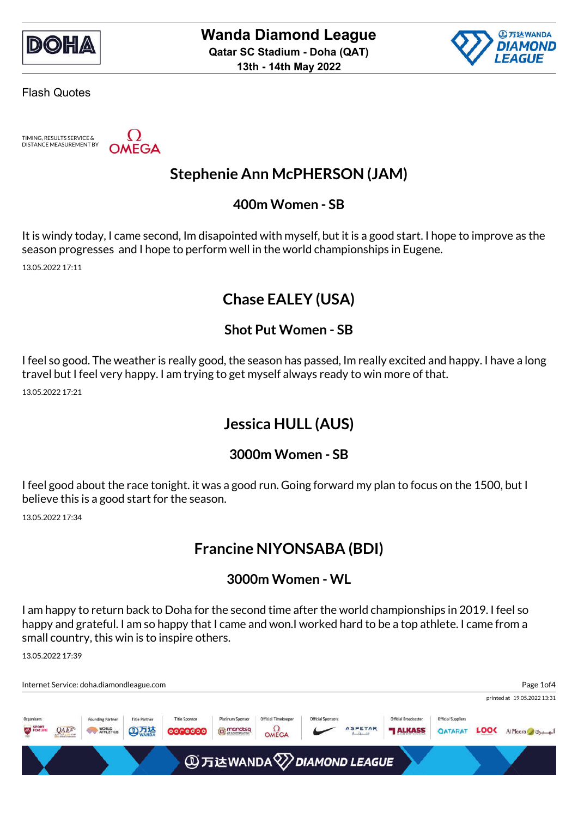



TIMING, RESULTS SERVICE & DISTANCE MEASUREMENT BY

**OMEGA** 

## **Stephenie Ann McPHERSON (JAM)**

#### **400m Women - SB**

It is windy today, I came second, Im disapointed with myself, but it is a good start. I hope to improve as the season progresses and I hope to perform well in the world championships in Eugene.

13.05.2022 17:11

## **Chase EALEY (USA)**

#### **Shot Put Women - SB**

I feel so good. The weather is really good, the season has passed, Im really excited and happy. I have a long travel but I feel very happy. I am trying to get myself always ready to win more of that.

13.05.2022 17:21

### **Jessica HULL (AUS)**

#### **3000m Women - SB**

I feel good about the race tonight. it was a good run. Going forward my plan to focus on the 1500, but I believe this is a good start for the season.

13.05.2022 17:34

### **Francine NIYONSABA (BDI)**

#### **3000m Women - WL**

I am happy to return back to Doha for the second time after the world championships in 2019. I feel so happy and grateful. I am so happy that I came and won.I worked hard to be a top athlete. I came from a small country, this win is to inspire others.

13.05.2022 17:39

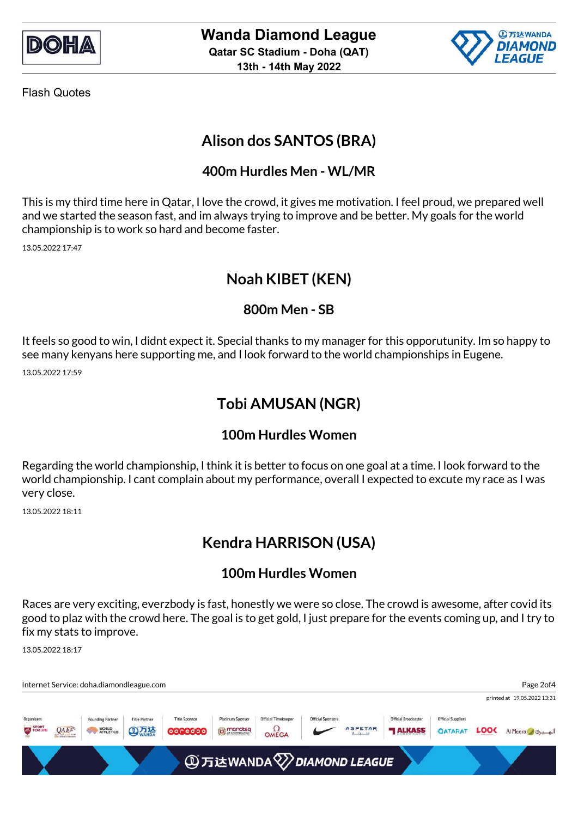



# **Alison dos SANTOS (BRA)**

#### **400m Hurdles Men - WL/MR**

This is my third time here in Qatar, I love the crowd, it gives me motivation. I feel proud, we prepared well and we started the season fast, and im always trying to improve and be better. My goals for the world championship is to work so hard and become faster.

13.05.2022 17:47

## **Noah KIBET (KEN)**

#### **800m Men - SB**

It feels so good to win, I didnt expect it. Special thanks to my manager for this opporutunity. Im so happy to see many kenyans here supporting me, and I look forward to the world championships in Eugene. 13.05.2022 17:59

# **Tobi AMUSAN (NGR)**

#### **100m Hurdles Women**

Regarding the world championship, I think it is better to focus on one goal at a time. I look forward to the world championship. I cant complain about my performance, overall I expected to excute my race as I was very close.

13.05.2022 18:11

# **Kendra HARRISON (USA)**

#### **100m Hurdles Women**

Races are very exciting, everzbody is fast, honestly we were so close. The crowd is awesome, after covid its good to plaz with the crowd here. The goal is to get gold, I just prepare for the events coming up, and I try to fix my stats to improve.

13.05.2022 18:17

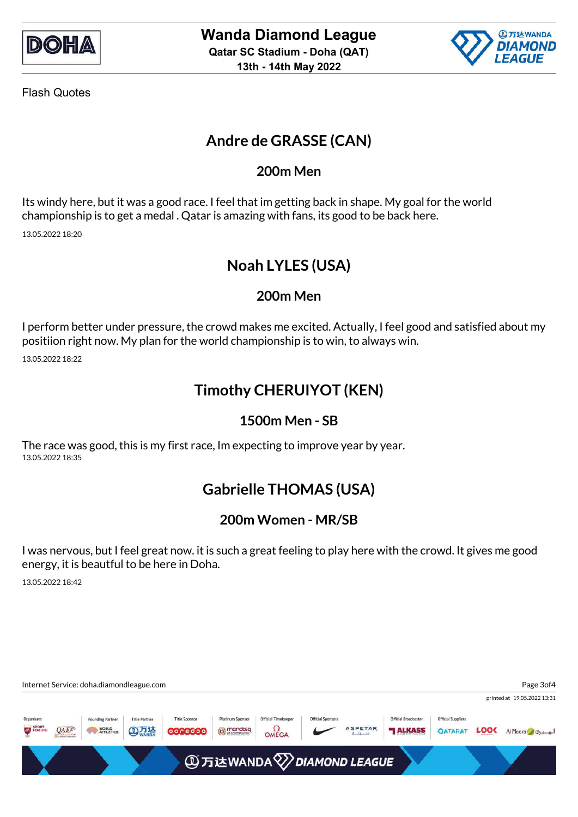



# **Andre de GRASSE (CAN)**

#### **200m Men**

Its windy here, but it was a good race. I feel that im getting back in shape. My goal for the world championship is to get a medal . Qatar is amazing with fans, its good to be back here. 13.05.2022 18:20

# **Noah LYLES (USA)**

#### **200m Men**

I perform better under pressure, the crowd makes me excited. Actually, I feel good and satisfied about my positiion right now. My plan for the world championship is to win, to always win.

13.05.2022 18:22

## **Timothy CHERUIYOT (KEN)**

#### **1500m Men - SB**

The race was good, this is my first race, Im expecting to improve year by year. 13.05.2022 18:35

# **Gabrielle THOMAS (USA)**

#### **200m Women - MR/SB**

I was nervous, but I feel great now. it is such a great feeling to play here with the crowd. It gives me good energy, it is beautful to be here in Doha.

13.05.2022 18:42